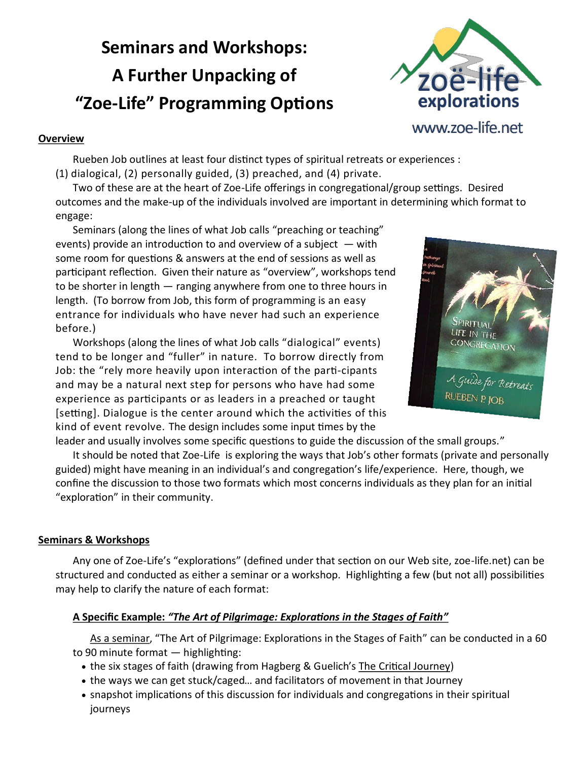# **Seminars and Workshops: A Further Unpacking of "Zoe-Life" Programming Options**



#### **Overview**

Rueben Job outlines at least four distinct types of spiritual retreats or experiences : (1) dialogical, (2) personally guided, (3) preached, and (4) private.

Two of these are at the heart of Zoe-Life offerings in congregational/group settings. Desired outcomes and the make-up of the individuals involved are important in determining which format to engage:

Seminars (along the lines of what Job calls "preaching or teaching" events) provide an introduction to and overview of a subject  $-$  with some room for questions & answers at the end of sessions as well as participant reflection. Given their nature as "overview", workshops tend to be shorter in length — ranging anywhere from one to three hours in length. (To borrow from Job, this form of programming is an easy entrance for individuals who have never had such an experience before.)

Workshops (along the lines of what Job calls "dialogical" events) tend to be longer and "fuller" in nature. To borrow directly from Job: the "rely more heavily upon interaction of the parti-cipants and may be a natural next step for persons who have had some experience as participants or as leaders in a preached or taught [setting]. Dialogue is the center around which the activities of this kind of event revolve. The design includes some input times by the



leader and usually involves some specific questions to guide the discussion of the small groups." It should be noted that Zoe-Life is exploring the ways that Job's other formats (private and personally guided) might have meaning in an individual's and congregation's life/experience. Here, though, we confine the discussion to those two formats which most concerns individuals as they plan for an initial "exploration" in their community.

# **Seminars & Workshops**

Any one of Zoe-Life's "explorations" (defined under that section on our Web site, zoe-life.net) can be structured and conducted as either a seminar or a workshop. Highlighting a few (but not all) possibilities may help to clarify the nature of each format:

# **A Specific Example:** *"The Art of Pilgrimage: Explorations in the Stages of Faith"*

As a seminar, "The Art of Pilgrimage: Explorations in the Stages of Faith" can be conducted in a 60 to 90 minute format — highlighting:

- the six stages of faith (drawing from Hagberg & Guelich's The Critical Journey)
- the ways we can get stuck/caged… and facilitators of movement in that Journey
- snapshot implications of this discussion for individuals and congregations in their spiritual journeys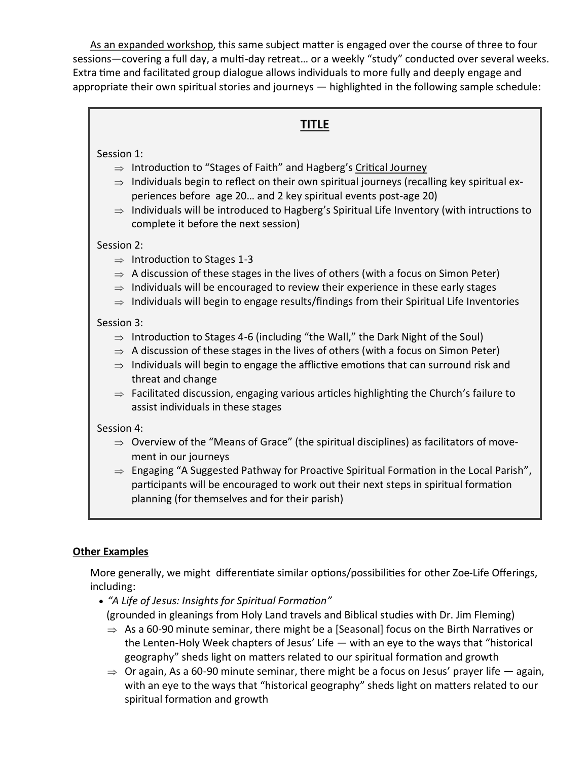As an expanded workshop, this same subject matter is engaged over the course of three to four sessions—covering a full day, a multi-day retreat… or a weekly "study" conducted over several weeks. Extra time and facilitated group dialogue allows individuals to more fully and deeply engage and appropriate their own spiritual stories and journeys — highlighted in the following sample schedule:

## **TITLE**

### Session 1:

- $\Rightarrow$  Introduction to "Stages of Faith" and Hagberg's Critical Journey
- $\Rightarrow$  Individuals begin to reflect on their own spiritual journeys (recalling key spiritual experiences before age 20… and 2 key spiritual events post-age 20)
- $\Rightarrow$  Individuals will be introduced to Hagberg's Spiritual Life Inventory (with intructions to complete it before the next session)

#### Session 2:

- $\Rightarrow$  Introduction to Stages 1-3
- $\Rightarrow$  A discussion of these stages in the lives of others (with a focus on Simon Peter)
- $\Rightarrow$  Individuals will be encouraged to review their experience in these early stages
- $\Rightarrow$  Individuals will begin to engage results/findings from their Spiritual Life Inventories

## Session 3:

- $\Rightarrow$  Introduction to Stages 4-6 (including "the Wall," the Dark Night of the Soul)
- $\Rightarrow$  A discussion of these stages in the lives of others (with a focus on Simon Peter)
- $\Rightarrow$  Individuals will begin to engage the afflictive emotions that can surround risk and threat and change
- $\Rightarrow$  Facilitated discussion, engaging various articles highlighting the Church's failure to assist individuals in these stages

## Session 4:

- $\Rightarrow$  Overview of the "Means of Grace" (the spiritual disciplines) as facilitators of movement in our journeys
- $\Rightarrow$  Engaging "A Suggested Pathway for Proactive Spiritual Formation in the Local Parish", participants will be encouraged to work out their next steps in spiritual formation planning (for themselves and for their parish)

## **Other Examples**

More generally, we might differentiate similar options/possibilities for other Zoe-Life Offerings, including:

- *"A Life of Jesus: Insights for Spiritual Formation" (grounded in gleanings from Holy Land travels and Biblical studies with Dr. Jim Fleming)* 
	- $\Rightarrow$  As a 60-90 minute seminar, there might be a [Seasonal] focus on the Birth Narratives or the Lenten-Holy Week chapters of Jesus' Life — with an eye to the ways that "historical geography" sheds light on matters related to our spiritual formation and growth
	- $\Rightarrow$  Or again, As a 60-90 minute seminar, there might be a focus on Jesus' prayer life  $-$  again, with an eye to the ways that "historical geography" sheds light on matters related to our spiritual formation and growth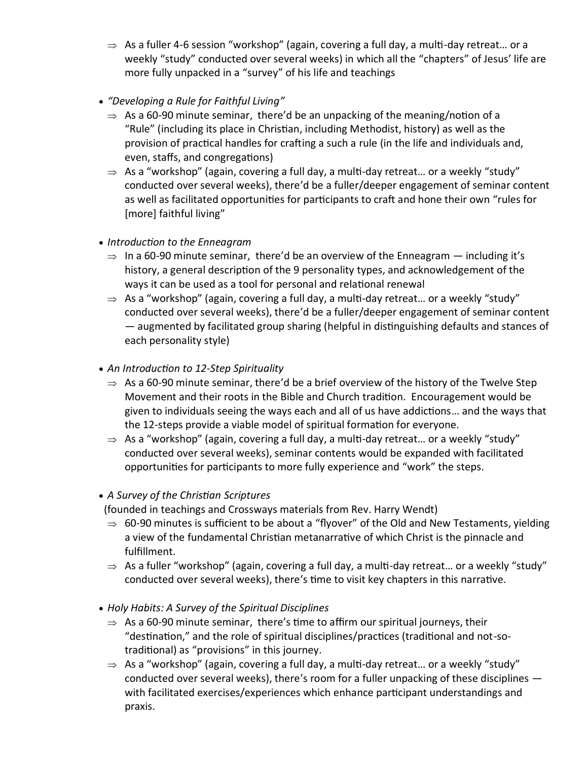- $\Rightarrow$  As a fuller 4-6 session "workshop" (again, covering a full day, a multi-day retreat... or a weekly "study" conducted over several weeks) in which all the "chapters" of Jesus' life are more fully unpacked in a "survey" of his life and teachings
- *"Developing a Rule for Faithful Living"*
	- $\Rightarrow$  As a 60-90 minute seminar, there'd be an unpacking of the meaning/notion of a "Rule" (including its place in Christian, including Methodist, history) as well as the provision of practical handles for crafting a such a rule (in the life and individuals and, even, staffs, and congregations)
	- $\Rightarrow$  As a "workshop" (again, covering a full day, a multi-day retreat... or a weekly "study" conducted over several weeks), there'd be a fuller/deeper engagement of seminar content as well as facilitated opportunities for participants to craft and hone their own "rules for [more] faithful living"
- *Introduction to the Enneagram*
	- $\Rightarrow$  In a 60-90 minute seminar, there'd be an overview of the Enneagram  $-$  including it's history, a general description of the 9 personality types, and acknowledgement of the ways it can be used as a tool for personal and relational renewal
	- $\Rightarrow$  As a "workshop" (again, covering a full day, a multi-day retreat... or a weekly "study" conducted over several weeks), there'd be a fuller/deeper engagement of seminar content — augmented by facilitated group sharing (helpful in distinguishing defaults and stances of each personality style)
- *An Introduction to 12-Step Spirituality*
	- $\Rightarrow$  As a 60-90 minute seminar, there'd be a brief overview of the history of the Twelve Step Movement and their roots in the Bible and Church tradition. Encouragement would be given to individuals seeing the ways each and all of us have addictions… and the ways that the 12-steps provide a viable model of spiritual formation for everyone.
	- $\Rightarrow$  As a "workshop" (again, covering a full day, a multi-day retreat... or a weekly "study" conducted over several weeks), seminar contents would be expanded with facilitated opportunities for participants to more fully experience and "work" the steps.
- *A Survey of the Christian Scriptures*
- (founded in teachings and Crossways materials from Rev. Harry Wendt)
- $\Rightarrow$  60-90 minutes is sufficient to be about a "flyover" of the Old and New Testaments, yielding a view of the fundamental Christian metanarrative of which Christ is the pinnacle and fulfillment.
- $\Rightarrow$  As a fuller "workshop" (again, covering a full day, a multi-day retreat... or a weekly "study" conducted over several weeks), there's time to visit key chapters in this narrative.
- *Holy Habits: A Survey of the Spiritual Disciplines*
	- $\Rightarrow$  As a 60-90 minute seminar, there's time to affirm our spiritual journeys, their "destination," and the role of spiritual disciplines/practices (traditional and not-sotraditional) as "provisions" in this journey.
	- $\Rightarrow$  As a "workshop" (again, covering a full day, a multi-day retreat... or a weekly "study" conducted over several weeks), there's room for a fuller unpacking of these disciplines with facilitated exercises/experiences which enhance participant understandings and praxis.